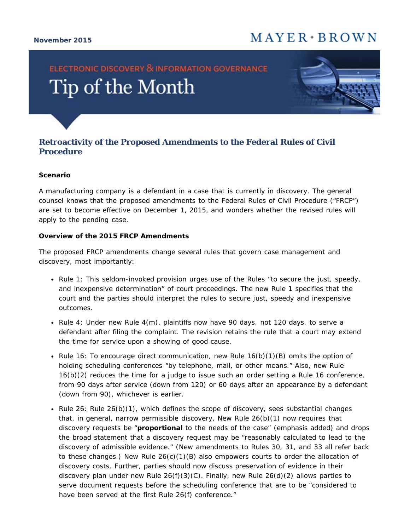## $M$  A Y E R  $\cdot$  B R O W N

#### **November 2015**

# **ELECTRONIC DISCOVERY & INFORMATION GOVERNANCE** Tip of the Month



### **Retroactivity of the Proposed Amendments to the Federal Rules of Civil Procedure**

#### **Scenario**

A manufacturing company is a defendant in a case that is currently in discovery. The general counsel knows that the proposed amendments to the Federal Rules of Civil Procedure ("FRCP") are set to become effective on December 1, 2015, and wonders whether the revised rules will apply to the pending case.

#### **Overview of the 2015 FRCP Amendments**

The proposed FRCP amendments change several rules that govern case management and discovery, most importantly:

- *Rule 1*: This seldom-invoked provision urges use of the Rules "to secure the just, speedy, and inexpensive determination" of court proceedings. The new Rule 1 specifies that the court and the parties should interpret the rules to secure just, speedy and inexpensive outcomes.
- *Rule 4*: Under new Rule 4(m), plaintiffs now have 90 days, not 120 days, to serve a defendant after filing the complaint. The revision retains the rule that a court may extend the time for service upon a showing of good cause.
- *Rule 16*: To encourage direct communication, new Rule 16(b)(1)(B) omits the option of holding scheduling conferences "by telephone, mail, or other means." Also, new Rule 16(b)(2) reduces the time for a judge to issue such an order setting a Rule 16 conference, from 90 days after service (down from 120) or 60 days after an appearance by a defendant (down from 90), whichever is earlier.
- *Rule 26*: Rule 26(b)(1), which defines the scope of discovery, sees substantial changes that, in general, narrow permissible discovery. New Rule 26(b)(1) now requires that discovery requests be "**proportional** to the needs of the case" (emphasis added) and drops the broad statement that a discovery request may be "reasonably calculated to lead to the discovery of admissible evidence." (New amendments to Rules 30, 31, and 33 all refer back to these changes.) New Rule  $26(c)(1)(B)$  also empowers courts to order the allocation of discovery costs. Further, parties should now discuss preservation of evidence in their discovery plan under new Rule  $26(f)(3)(C)$ . Finally, new Rule  $26(d)(2)$  allows parties to serve document requests before the scheduling conference that are to be "considered to have been served at the first Rule 26(f) conference."